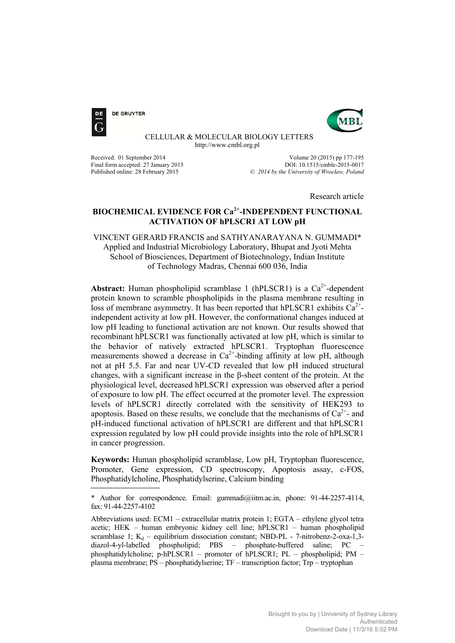

**DE GRUYTER** 



 CELLULAR & MOLECULAR BIOLOGY LETTERS http://www.cmbl.org.pl

Final form accepted: 27 January 2015<br>Published online: 28 February 2015

Received: 01 September 2014<br>
Final form accepted: 27 January 2015<br>
Final form accepted: 27 January 2015  $O$  2014 by the University of Wrocław, Poland

Research article

# **BIOCHEMICAL EVIDENCE FOR Ca2+-INDEPENDENT FUNCTIONAL ACTIVATION OF hPLSCR1 AT LOW pH**

# VINCENT GERARD FRANCIS and SATHYANARAYANA N. GUMMADI\* Applied and Industrial Microbiology Laboratory, Bhupat and Jyoti Mehta School of Biosciences, Department of Biotechnology, Indian Institute of Technology Madras, Chennai 600 036, India

**Abstract:** Human phospholipid scramblase 1 (hPLSCR1) is a  $Ca^{2+}$ -dependent protein known to scramble phospholipids in the plasma membrane resulting in loss of membrane asymmetry. It has been reported that hPLSCR1 exhibits  $Ca^{2+}$ independent activity at low pH. However, the conformational changes induced at low pH leading to functional activation are not known. Our results showed that recombinant hPLSCR1 was functionally activated at low pH, which is similar to the behavior of natively extracted hPLSCR1. Tryptophan fluorescence measurements showed a decrease in  $Ca^{2+}$ -binding affinity at low pH, although not at pH 5.5. Far and near UV-CD revealed that low pH induced structural changes, with a significant increase in the β-sheet content of the protein. At the physiological level, decreased hPLSCR1 expression was observed after a period of exposure to low pH. The effect occurred at the promoter level. The expression levels of hPLSCR1 directly correlated with the sensitivity of HEK293 to apoptosis. Based on these results, we conclude that the mechanisms of  $Ca^{2+}$ - and pH-induced functional activation of hPLSCR1 are different and that hPLSCR1 expression regulated by low pH could provide insights into the role of hPLSCR1 in cancer progression.

**Keywords:** Human phospholipid scramblase, Low pH, Tryptophan fluorescence, Promoter, Gene expression, CD spectroscopy, Apoptosis assay, c-FOS, Phosphatidylcholine, Phosphatidylserine, Calcium binding

<sup>\*</sup> Author for correspondence. Email: gummadi@iitm.ac.in, phone: 91-44-2257-4114, fax: 91-44-2257-4102

Abbreviations used: ECM1 – extracellular matrix protein 1; EGTA – ethylene glycol tetra acetic; HEK – human embryonic kidney cell line; hPLSCR1 – human phospholipid scramblase 1;  $K_d$  – equilibrium dissociation constant; NBD-PL - 7-nitrobenz-2-oxa-1,3diazol-4-yl-labelled phospholipid; PBS – phosphate-buffered saline; PC – phosphatidylcholine; p-hPLSCR1 – promoter of hPLSCR1; PL – phospholipid; PM – plasma membrane; PS – phosphatidylserine; TF – transcription factor; Trp – tryptophan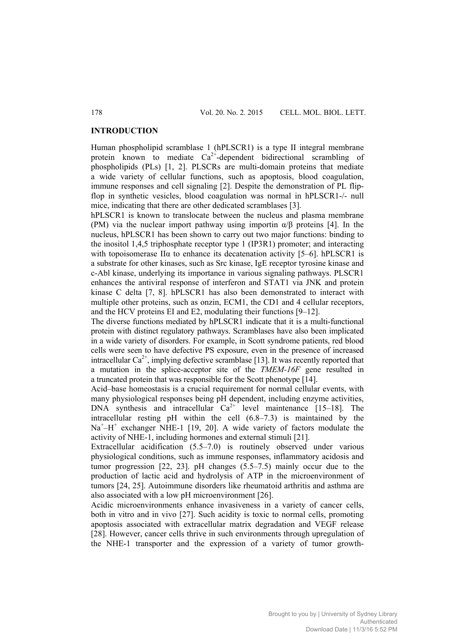#### **INTRODUCTION**

Human phospholipid scramblase 1 (hPLSCR1) is a type II integral membrane protein known to mediate  $Ca^{2+}$ -dependent bidirectional scrambling of phospholipids (PLs) [1, 2]. PLSCRs are multi-domain proteins that mediate a wide variety of cellular functions, such as apoptosis, blood coagulation, immune responses and cell signaling [2]. Despite the demonstration of PL flipflop in synthetic vesicles, blood coagulation was normal in hPLSCR1-/- null mice, indicating that there are other dedicated scramblases [3].

hPLSCR1 is known to translocate between the nucleus and plasma membrane (PM) via the nuclear import pathway using importin  $\alpha/\beta$  proteins [4]. In the nucleus, hPLSCR1 has been shown to carry out two major functions: binding to the inositol 1,4,5 triphosphate receptor type 1 (IP3R1) promoter; and interacting with topoisomerase II $\alpha$  to enhance its decatenation activity [5–6]. hPLSCR1 is a substrate for other kinases, such as Src kinase, IgE receptor tyrosine kinase and c-Abl kinase, underlying its importance in various signaling pathways. PLSCR1 enhances the antiviral response of interferon and STAT1 via JNK and protein kinase C delta [7, 8]. hPLSCR1 has also been demonstrated to interact with multiple other proteins, such as onzin, ECM1, the CD1 and 4 cellular receptors, and the HCV proteins EI and E2, modulating their functions [9–12].

The diverse functions mediated by hPLSCR1 indicate that it is a multi-functional protein with distinct regulatory pathways. Scramblases have also been implicated in a wide variety of disorders. For example, in Scott syndrome patients, red blood cells were seen to have defective PS exposure, even in the presence of increased intracellular  $Ca^{2+}$ , implying defective scramblase [13]. It was recently reported that a mutation in the splice-acceptor site of the *TMEM-16F* gene resulted in a truncated protein that was responsible for the Scott phenotype [14].

Acid–base homeostasis is a crucial requirement for normal cellular events, with many physiological responses being pH dependent, including enzyme activities,  $DNA$  synthesis and intracellular  $Ca^{2+}$  level maintenance [15–18]. The intracellular resting pH within the cell (6.8–7.3) is maintained by the Na<sup>+</sup>-H<sup>+</sup> exchanger NHE-1 [19, 20]. A wide variety of factors modulate the activity of NHE-1, including hormones and external stimuli [21].

Extracellular acidification (5.5–7.0) is routinely observed under various physiological conditions, such as immune responses, inflammatory acidosis and tumor progression [22, 23]. pH changes (5.5–7.5) mainly occur due to the production of lactic acid and hydrolysis of ATP in the microenvironment of tumors [24, 25]. Autoimmune disorders like rheumatoid arthritis and asthma are also associated with a low pH microenvironment [26].

Acidic microenvironments enhance invasiveness in a variety of cancer cells, both in vitro and in vivo [27]. Such acidity is toxic to normal cells, promoting apoptosis associated with extracellular matrix degradation and VEGF release [28]. However, cancer cells thrive in such environments through upregulation of the NHE-1 transporter and the expression of a variety of tumor growth-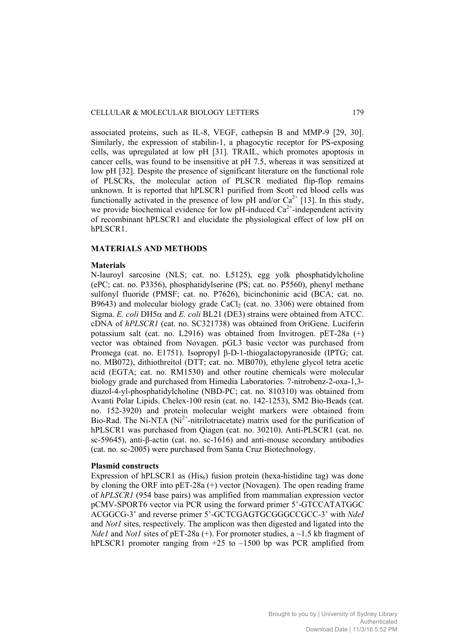associated proteins, such as IL-8, VEGF, cathepsin B and MMP-9 [29, 30]. Similarly, the expression of stabilin-1, a phagocytic receptor for PS-exposing cells, was upregulated at low pH [31]. TRAIL, which promotes apoptosis in cancer cells, was found to be insensitive at pH 7.5, whereas it was sensitized at low pH [32]. Despite the presence of significant literature on the functional role of PLSCRs, the molecular action of PLSCR mediated flip-flop remains unknown. It is reported that hPLSCR1 purified from Scott red blood cells was functionally activated in the presence of low pH and/or  $Ca^{2+}$  [13]. In this study, we provide biochemical evidence for low  $pH$ -induced  $Ca^{2+}$ -independent activity of recombinant hPLSCR1 and elucidate the physiological effect of low pH on hPLSCR1.

#### **MATERIALS AND METHODS**

## **Materials**

N-lauroyl sarcosine (NLS; cat. no. L5125), egg yolk phosphatidylcholine (ePC; cat. no. P3356), phosphatidylserine (PS; cat. no. P5560), phenyl methane sulfonyl fluoride (PMSF; cat. no. P7626), bicinchoninic acid (BCA; cat. no. B9643) and molecular biology grade CaCl<sub>2</sub> (cat. no. 3306) were obtained from Sigma. *E. coli* DH5 $\alpha$  and *E. coli* BL21 (DE3) strains were obtained from ATCC. cDNA of *hPLSCR1* (cat. no. SC321738) was obtained from OriGene. Luciferin potassium salt (cat. no. L2916) was obtained from Invitrogen. pET-28a (+) vector was obtained from Novagen. pGL3 basic vector was purchased from Promega (cat. no. E1751). Isopropyl β-D-1-thiogalactopyranoside (IPTG; cat. no. MB072), dithiothreitol (DTT; cat. no. MB070), ethylene glycol tetra acetic acid (EGTA; cat. no. RM1530) and other routine chemicals were molecular biology grade and purchased from Himedia Laboratories. 7-nitrobenz-2-oxa-1,3 diazol-4-yl-phosphatidylcholine (NBD-PC; cat. no. 810310) was obtained from Avanti Polar Lipids. Chelex-100 resin (cat. no. 142-1253), SM2 Bio-Beads (cat. no. 152-3920) and protein molecular weight markers were obtained from Bio-Rad. The Ni-NTA  $(Ni^{2+}$ -nitrilotriacetate) matrix used for the purification of hPLSCR1 was purchased from Qiagen (cat. no. 30210). Anti-PLSCR1 (cat. no. sc-59645), anti-β-actin (cat. no. sc-1616) and anti-mouse secondary antibodies (cat. no. sc-2005) were purchased from Santa Cruz Biotechnology.

### **Plasmid constructs**

Expression of hPLSCR1 as  $(His<sub>6</sub>)$  fusion protein (hexa-histidine tag) was done by cloning the ORF into pET-28a (+) vector (Novagen). The open reading frame of *hPLSCR1* (954 base pairs) was amplified from mammalian expression vector pCMV-SPORT6 vector via PCR using the forward primer 5'-GTCCATATGGC ACGGCG-3' and reverse primer 5'-GCTCGAGTGCGGGCCGCC-3' with *NdeI* and *Not1* sites, respectively. The amplicon was then digested and ligated into the *Nde1* and *Not1* sites of pET-28a (+). For promoter studies, a ~1.5 kb fragment of hPLSCR1 promoter ranging from  $+25$  to  $-1500$  bp was PCR amplified from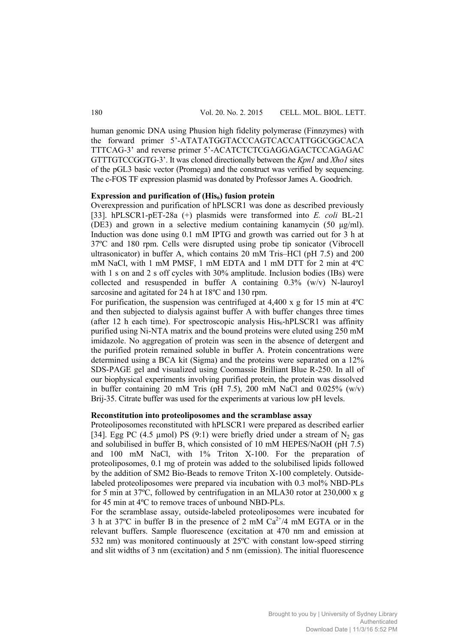human genomic DNA using Phusion high fidelity polymerase (Finnzymes) with the forward primer 5'-ATATATGGTACCCAGTCACCATTGGCGGCACA TTTCAG-3' and reverse primer 5'-ACATCTCTCGAGGAGACTCCAGAGAC GTTTGTCCGGTG-3'. It was cloned directionally between the *Kpn1* and *Xho1* sites of the pGL3 basic vector (Promega) and the construct was verified by sequencing. The c-FOS TF expression plasmid was donated by Professor James A. Goodrich.

## **Expression and purification of (His6) fusion protein**

Overexpression and purification of hPLSCR1 was done as described previously [33]. hPLSCR1-pET-28a (+) plasmids were transformed into *E. coli* BL-21 (DE3) and grown in a selective medium containing kanamycin (50 μg/ml). Induction was done using 0.1 mM IPTG and growth was carried out for 3 h at 37ºC and 180 rpm. Cells were disrupted using probe tip sonicator (Vibrocell ultrasonicator) in buffer A, which contains 20 mM Tris–HCl (pH 7.5) and 200 mM NaCl, with 1 mM PMSF, 1 mM EDTA and 1 mM DTT for 2 min at 4ºC with 1 s on and 2 s off cycles with 30% amplitude. Inclusion bodies (IBs) were collected and resuspended in buffer A containing 0.3% (w/v) N-lauroyl sarcosine and agitated for 24 h at 18ºC and 130 rpm.

For purification, the suspension was centrifuged at  $4.400 \times g$  for 15 min at 4<sup>o</sup>C and then subjected to dialysis against buffer A with buffer changes three times (after 12 h each time). For spectroscopic analysis  $His<sub>6</sub> - hPLSCR1$  was affinity purified using Ni-NTA matrix and the bound proteins were eluted using 250 mM imidazole. No aggregation of protein was seen in the absence of detergent and the purified protein remained soluble in buffer A. Protein concentrations were determined using a BCA kit (Sigma) and the proteins were separated on a 12% SDS-PAGE gel and visualized using Coomassie Brilliant Blue R-250. In all of our biophysical experiments involving purified protein, the protein was dissolved in buffer containing 20 mM Tris (pH 7.5), 200 mM NaCl and  $0.025\%$  (w/v) Brij-35. Citrate buffer was used for the experiments at various low pH levels.

# **Reconstitution into proteoliposomes and the scramblase assay**

Proteoliposomes reconstituted with hPLSCR1 were prepared as described earlier [34]. Egg PC (4.5 µmol) PS (9:1) were briefly dried under a stream of  $N_2$  gas and solubilised in buffer B, which consisted of 10 mM HEPES/NaOH (pH 7.5) and 100 mM NaCl, with 1% Triton X-100. For the preparation of proteoliposomes, 0.1 mg of protein was added to the solubilised lipids followed by the addition of SM2 Bio-Beads to remove Triton X-100 completely. Outsidelabeled proteoliposomes were prepared via incubation with 0.3 mol% NBD-PLs for 5 min at 37ºC, followed by centrifugation in an MLA30 rotor at 230,000 x g for 45 min at 4ºC to remove traces of unbound NBD-PLs.

For the scramblase assay, outside-labeled proteoliposomes were incubated for 3 h at 37 $\degree$ C in buffer B in the presence of 2 mM Ca<sup>2+</sup>/4 mM EGTA or in the relevant buffers. Sample fluorescence (excitation at 470 nm and emission at 532 nm) was monitored continuously at 25ºC with constant low-speed stirring and slit widths of 3 nm (excitation) and 5 nm (emission). The initial fluorescence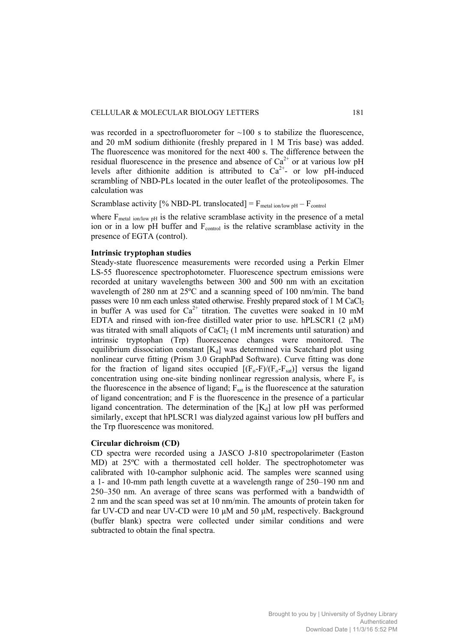was recorded in a spectrofluorometer for  $\sim$ 100 s to stabilize the fluorescence, and 20 mM sodium dithionite (freshly prepared in 1 M Tris base) was added. The fluorescence was monitored for the next 400 s. The difference between the residual fluorescence in the presence and absence of  $Ca^{2+}$  or at various low pH levels after dithionite addition is attributed to  $Ca^{2+}$ - or low pH-induced scrambling of NBD-PLs located in the outer leaflet of the proteoliposomes. The calculation was

Scramblase activity [% NBD-PL translocated] =  $F_{metal\ ion/low\ pH} - F_{control}$ 

where  $F_{metal ion/low pH}$  is the relative scramblase activity in the presence of a metal ion or in a low pH buffer and  $F_{control}$  is the relative scramblase activity in the presence of EGTA (control).

### **Intrinsic tryptophan studies**

Steady-state fluorescence measurements were recorded using a Perkin Elmer LS-55 fluorescence spectrophotometer. Fluorescence spectrum emissions were recorded at unitary wavelengths between 300 and 500 nm with an excitation wavelength of 280 nm at 25ºC and a scanning speed of 100 nm/min. The band passes were 10 nm each unless stated otherwise. Freshly prepared stock of 1 M  $CaCl<sub>2</sub>$ in buffer A was used for  $Ca^{2+}$  titration. The cuvettes were soaked in 10 mM EDTA and rinsed with ion-free distilled water prior to use. hPLSCR1  $(2 \mu M)$ was titrated with small aliquots of  $CaCl<sub>2</sub>$  (1 mM increments until saturation) and intrinsic tryptophan (Trp) fluorescence changes were monitored. The equilibrium dissociation constant  $[K_d]$  was determined via Scatchard plot using nonlinear curve fitting (Prism 3.0 GraphPad Software). Curve fitting was done for the fraction of ligand sites occupied  $[(F_0-F)/(F_0-F_{sat})]$  versus the ligand concentration using one-site binding nonlinear regression analysis, where  $F<sub>o</sub>$  is the fluorescence in the absence of ligand;  $F_{sat}$  is the fluorescence at the saturation of ligand concentration; and F is the fluorescence in the presence of a particular ligand concentration. The determination of the  $[K_d]$  at low pH was performed similarly, except that hPLSCR1 was dialyzed against various low pH buffers and the Trp fluorescence was monitored.

#### **Circular dichroism (CD)**

CD spectra were recorded using a JASCO J-810 spectropolarimeter (Easton MD) at 25ºC with a thermostated cell holder. The spectrophotometer was calibrated with 10-camphor sulphonic acid. The samples were scanned using a 1- and 10-mm path length cuvette at a wavelength range of 250–190 nm and 250–350 nm. An average of three scans was performed with a bandwidth of 2 nm and the scan speed was set at 10 nm/min. The amounts of protein taken for far UV-CD and near UV-CD were 10 μM and 50 μM, respectively. Background (buffer blank) spectra were collected under similar conditions and were subtracted to obtain the final spectra.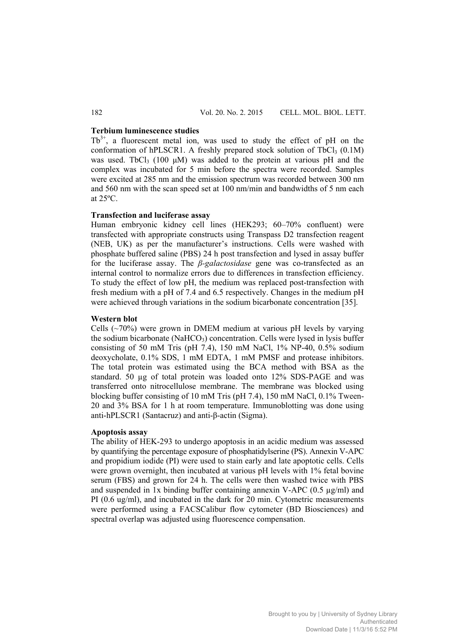## **Terbium luminescence studies**

 $Tb^{3+}$ , a fluorescent metal ion, was used to study the effect of pH on the conformation of hPLSCR1. A freshly prepared stock solution of TbCl<sub>3</sub>  $(0.1M)$ was used. TbCl<sub>3</sub> (100  $\mu$ M) was added to the protein at various pH and the complex was incubated for 5 min before the spectra were recorded. Samples were excited at 285 nm and the emission spectrum was recorded between 300 nm and 560 nm with the scan speed set at 100 nm/min and bandwidths of 5 nm each at 25ºC.

## **Transfection and luciferase assay**

Human embryonic kidney cell lines (HEK293; 60–70% confluent) were transfected with appropriate constructs using Transpass D2 transfection reagent (NEB, UK) as per the manufacturer's instructions. Cells were washed with phosphate buffered saline (PBS) 24 h post transfection and lysed in assay buffer for the luciferase assay. The *β-galactosidase* gene was co-transfected as an internal control to normalize errors due to differences in transfection efficiency. To study the effect of low pH, the medium was replaced post-transfection with fresh medium with a pH of 7.4 and 6.5 respectively. Changes in the medium pH were achieved through variations in the sodium bicarbonate concentration [35].

#### **Western blot**

Cells  $(\sim 70\%)$  were grown in DMEM medium at various pH levels by varying the sodium bicarbonate (NaHCO<sub>3</sub>) concentration. Cells were lysed in lysis buffer consisting of 50 mM Tris (pH 7.4), 150 mM NaCl,  $1\%$  NP-40, 0.5% sodium deoxycholate, 0.1% SDS, 1 mM EDTA, 1 mM PMSF and protease inhibitors. The total protein was estimated using the BCA method with BSA as the standard. 50 µg of total protein was loaded onto 12% SDS-PAGE and was transferred onto nitrocellulose membrane. The membrane was blocked using blocking buffer consisting of 10 mM Tris (pH 7.4), 150 mM NaCl, 0.1% Tween-20 and 3% BSA for 1 h at room temperature. Immunoblotting was done using anti-hPLSCR1 (Santacruz) and anti-β-actin (Sigma).

## **Apoptosis assay**

The ability of HEK-293 to undergo apoptosis in an acidic medium was assessed by quantifying the percentage exposure of phosphatidylserine (PS). Annexin V-APC and propidium iodide (PI) were used to stain early and late apoptotic cells. Cells were grown overnight, then incubated at various pH levels with 1% fetal bovine serum (FBS) and grown for 24 h. The cells were then washed twice with PBS and suspended in 1x binding buffer containing annexin V-APC  $(0.5 \mu g/ml)$  and PI (0.6 ug/ml), and incubated in the dark for 20 min. Cytometric measurements were performed using a FACSCalibur flow cytometer (BD Biosciences) and spectral overlap was adjusted using fluorescence compensation.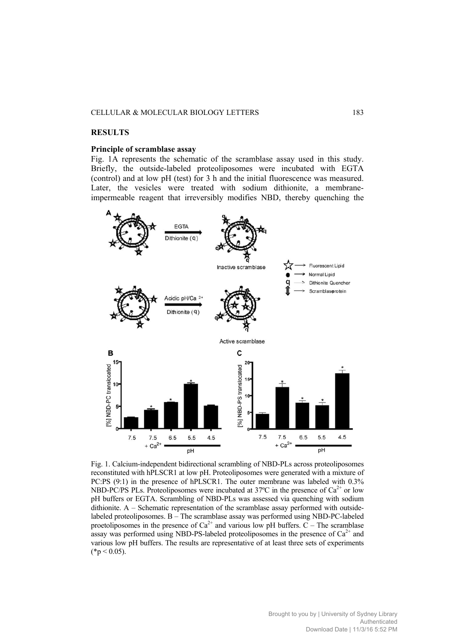#### CELLULAR & MOLECULAR BIOLOGY LETTERS 183

#### **RESULTS**

#### **Principle of scramblase assay**

Fig. 1A represents the schematic of the scramblase assay used in this study. Briefly, the outside-labeled proteoliposomes were incubated with EGTA (control) and at low pH (test) for 3 h and the initial fluorescence was measured. Later, the vesicles were treated with sodium dithionite, a membraneimpermeable reagent that irreversibly modifies NBD, thereby quenching the



Fig. 1. Calcium-independent bidirectional scrambling of NBD-PLs across proteoliposomes reconstituted with hPLSCR1 at low pH. Proteoliposomes were generated with a mixture of PC:PS (9:1) in the presence of hPLSCR1. The outer membrane was labeled with 0.3% NBD-PC/PS PLs. Proteoliposomes were incubated at 37 $\degree$ C in the presence of Ca<sup>2+</sup> or low pH buffers or EGTA. Scrambling of NBD-PLs was assessed via quenching with sodium dithionite.  $A - S$ chematic representation of the scramblase assay performed with outsidelabeled proteoliposomes. B – The scramblase assay was performed using NBD-PC-labeled proetoliposomes in the presence of  $Ca^{2+}$  and various low pH buffers.  $C$  – The scramblase assay was performed using NBD-PS-labeled proteoliposomes in the presence of  $Ca<sup>2+</sup>$  and various low pH buffers. The results are representative of at least three sets of experiments  $(*p < 0.05).$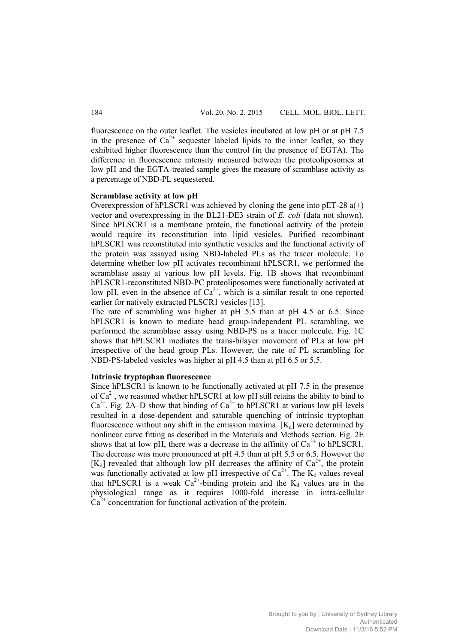fluorescence on the outer leaflet. The vesicles incubated at low pH or at pH 7.5 in the presence of  $Ca^{2+}$  sequester labeled lipids to the inner leaflet, so they exhibited higher fluorescence than the control (in the presence of EGTA). The difference in fluorescence intensity measured between the proteoliposomes at low pH and the EGTA-treated sample gives the measure of scramblase activity as a percentage of NBD-PL sequestered.

# **Scramblase activity at low pH**

Overexpression of hPLSCR1 was achieved by cloning the gene into  $pET-28 a(+)$ vector and overexpressing in the BL21-DE3 strain of *E. coli* (data not shown). Since hPLSCR1 is a membrane protein, the functional activity of the protein would require its reconstitution into lipid vesicles. Purified recombinant hPLSCR1 was reconstituted into synthetic vesicles and the functional activity of the protein was assayed using NBD-labeled PLs as the tracer molecule. To determine whether low pH activates recombinant hPLSCR1, we performed the scramblase assay at various low pH levels. Fig. 1B shows that recombinant hPLSCR1-reconstituted NBD-PC proteoliposomes were functionally activated at low pH, even in the absence of  $\hat{Ca}^{2+}$ , which is a similar result to one reported earlier for natively extracted PLSCR1 vesicles [13].

The rate of scrambling was higher at pH 5.5 than at pH 4.5 or 6.5. Since hPLSCR1 is known to mediate head group-independent PL scrambling, we performed the scramblase assay using NBD-PS as a tracer molecule. Fig. 1C shows that hPLSCR1 mediates the trans-bilayer movement of PLs at low pH irrespective of the head group PLs. However, the rate of PL scrambling for NBD-PS-labeled vesicles was higher at pH 4.5 than at pH 6.5 or 5.5.

# **Intrinsic tryptophan fluorescence**

Since hPLSCR1 is known to be functionally activated at pH 7.5 in the presence of  $Ca^{2+}$ , we reasoned whether hPLSCR1 at low pH still retains the ability to bind to  $Ca^{2+}$ . Fig. 2A–D show that binding of  $Ca^{2+}$  to hPLSCR1 at various low pH levels resulted in a dose-dependent and saturable quenching of intrinsic tryptophan fluorescence without any shift in the emission maxima.  $[K_d]$  were determined by nonlinear curve fitting as described in the Materials and Methods section. Fig. 2E shows that at low pH, there was a decrease in the affinity of  $Ca^{2+}$  to hPLSCR1. The decrease was more pronounced at pH 4.5 than at pH 5.5 or 6.5. However the [K<sub>d</sub>] revealed that although low pH decreases the affinity of  $Ca^{2+}$ , the protein was functionally activated at low pH irrespective of  $Ca^{2+}$ . The K<sub>d</sub> values reveal that hPLSCR1 is a weak  $Ca^{2+}$ -binding protein and the  $K_d$  values are in the physiological range as it requires 1000-fold increase in intra-cellular  $Ca<sup>2+</sup>$  concentration for functional activation of the protein.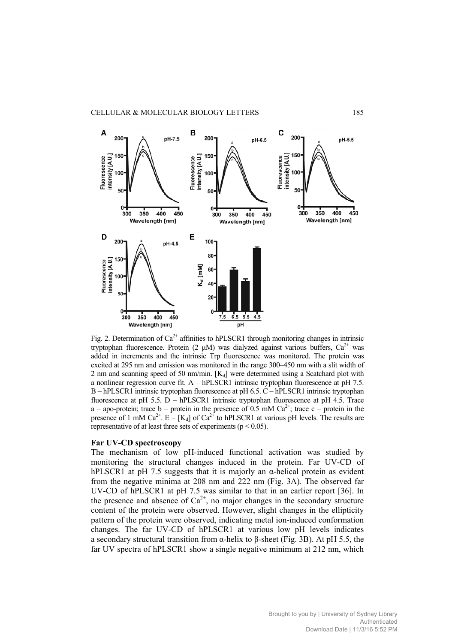

Fig. 2. Determination of  $Ca^{2+}$  affinities to hPLSCR1 through monitoring changes in intrinsic tryptophan fluorescence. Protein (2  $\mu$ M) was dialyzed against various buffers. Ca<sup>2+</sup> was added in increments and the intrinsic Trp fluorescence was monitored. The protein was excited at 295 nm and emission was monitored in the range 300–450 nm with a slit width of 2 nm and scanning speed of 50 nm/min.  $[K_d]$  were determined using a Scatchard plot with a nonlinear regression curve fit.  $A - hPLSCR1$  intrinsic tryptophan fluorescence at pH 7.5. B – hPLSCR1 intrinsic tryptophan fluorescence at pH 6.5. C – hPLSCR1 intrinsic tryptophan fluorescence at pH 5.5. D – hPLSCR1 intrinsic tryptophan fluorescence at pH 4.5. Trace a – apo-protein; trace b – protein in the presence of 0.5 mM  $Ca^{2+}$ ; trace c – protein in the presence of 1 mM Ca<sup>2+</sup>. E – [K<sub>d</sub>] of Ca<sup>2+</sup> to hPLSCR1 at various pH levels. The results are representative of at least three sets of experiments ( $p < 0.05$ ).

#### **Far UV-CD spectroscopy**

The mechanism of low pH-induced functional activation was studied by monitoring the structural changes induced in the protein. Far UV-CD of hPLSCR1 at pH 7.5 suggests that it is majorly an  $\alpha$ -helical protein as evident from the negative minima at 208 nm and 222 nm (Fig. 3A). The observed far UV-CD of hPLSCR1 at pH 7.5 was similar to that in an earlier report [36]. In the presence and absence of  $Ca^{2+}$ , no major changes in the secondary structure content of the protein were observed. However, slight changes in the ellipticity pattern of the protein were observed, indicating metal ion-induced conformation changes. The far UV-CD of hPLSCR1 at various low pH levels indicates a secondary structural transition from α-helix to β-sheet (Fig. 3B). At pH 5.5, the far UV spectra of hPLSCR1 show a single negative minimum at 212 nm, which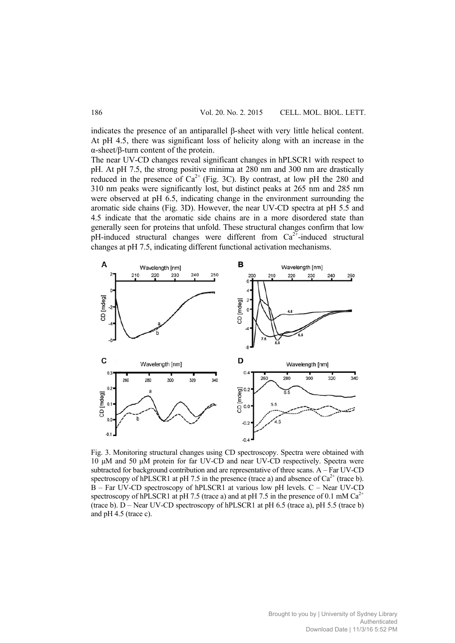indicates the presence of an antiparallel β-sheet with very little helical content. At pH 4.5, there was significant loss of helicity along with an increase in the α-sheet/β-turn content of the protein.

The near UV-CD changes reveal significant changes in hPLSCR1 with respect to pH. At pH 7.5, the strong positive minima at 280 nm and 300 nm are drastically reduced in the presence of  $Ca^{2+}$  (Fig. 3C). By contrast, at low pH the 280 and 310 nm peaks were significantly lost, but distinct peaks at 265 nm and 285 nm were observed at pH 6.5, indicating change in the environment surrounding the aromatic side chains (Fig. 3D). However, the near UV-CD spectra at pH 5.5 and 4.5 indicate that the aromatic side chains are in a more disordered state than generally seen for proteins that unfold. These structural changes confirm that low pH-induced structural changes were different from  $Ca^{2+}$ -induced structural changes at pH 7.5, indicating different functional activation mechanisms.



Fig. 3. Monitoring structural changes using CD spectroscopy. Spectra were obtained with 10 μM and 50 μM protein for far UV-CD and near UV-CD respectively. Spectra were subtracted for background contribution and are representative of three scans. A – Far UV-CD spectroscopy of hPLSCR1 at pH 7.5 in the presence (trace a) and absence of  $Ca^{2+}$  (trace b). B – Far UV-CD spectroscopy of hPLSCR1 at various low pH levels. C – Near UV-CD spectroscopy of hPLSCR1 at pH 7.5 (trace a) and at pH 7.5 in the presence of 0.1 mM  $Ca^{2+}$ (trace b). D – Near UV-CD spectroscopy of hPLSCR1 at pH 6.5 (trace a), pH 5.5 (trace b) and pH 4.5 (trace c).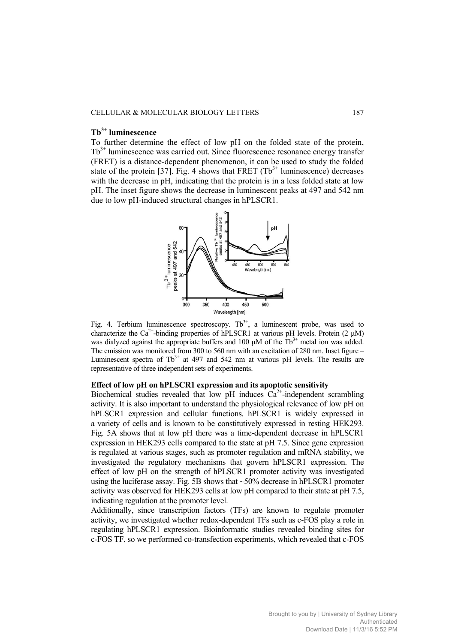# **Tb3+ luminescence**

To further determine the effect of low pH on the folded state of the protein,  $Tb<sup>3+</sup>$  luminescence was carried out. Since fluorescence resonance energy transfer (FRET) is a distance-dependent phenomenon, it can be used to study the folded state of the protein [37]. Fig. 4 shows that FRET  $(Tb<sup>3+</sup>$  luminescence) decreases with the decrease in pH, indicating that the protein is in a less folded state at low pH. The inset figure shows the decrease in luminescent peaks at 497 and 542 nm due to low pH-induced structural changes in hPLSCR1.



Fig. 4. Terbium luminescence spectroscopy.  $Tb^{3+}$ , a luminescent probe, was used to characterize the  $Ca^{2+}$ -binding properties of hPLSCR1 at various pH levels. Protein (2 µM) was dialyzed against the appropriate buffers and 100  $\mu$ M of the Tb<sup>3+</sup> metal ion was added. The emission was monitored from 300 to 560 nm with an excitation of 280 nm. Inset figure – Luminescent spectra of  $Tb^{3+}$  at 497 and 542 nm at various pH levels. The results are representative of three independent sets of experiments.

# **Effect of low pH on hPLSCR1 expression and its apoptotic sensitivity**

Biochemical studies revealed that low pH induces  $Ca^{2+}$ -independent scrambling activity. It is also important to understand the physiological relevance of low pH on hPLSCR1 expression and cellular functions. hPLSCR1 is widely expressed in a variety of cells and is known to be constitutively expressed in resting HEK293. Fig. 5A shows that at low pH there was a time-dependent decrease in hPLSCR1 expression in HEK293 cells compared to the state at pH 7.5. Since gene expression is regulated at various stages, such as promoter regulation and mRNA stability, we investigated the regulatory mechanisms that govern hPLSCR1 expression. The effect of low pH on the strength of hPLSCR1 promoter activity was investigated using the luciferase assay. Fig. 5B shows that  $\sim$ 50% decrease in hPLSCR1 promoter activity was observed for HEK293 cells at low pH compared to their state at pH 7.5, indicating regulation at the promoter level.

Additionally, since transcription factors (TFs) are known to regulate promoter activity, we investigated whether redox-dependent TFs such as c-FOS play a role in regulating hPLSCR1 expression. Bioinformatic studies revealed binding sites for c-FOS TF, so we performed co-transfection experiments, which revealed that c-FOS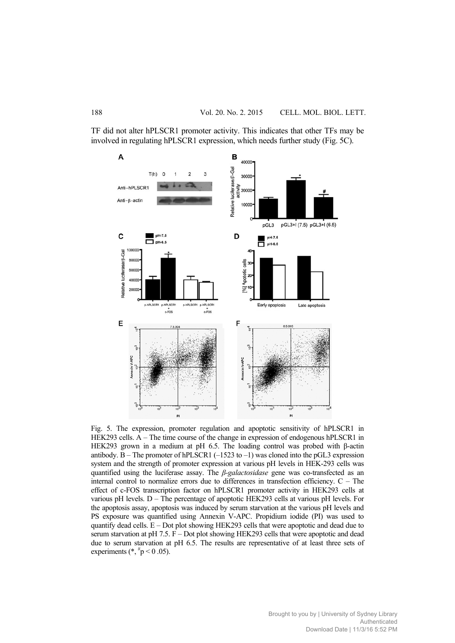TF did not alter hPLSCR1 promoter activity. This indicates that other TFs may be involved in regulating hPLSCR1 expression, which needs further study (Fig. 5C).



Fig. 5. The expression, promoter regulation and apoptotic sensitivity of hPLSCR1 in HEK293 cells. A – The time course of the change in expression of endogenous hPLSCR1 in HEK293 grown in a medium at pH 6.5. The loading control was probed with β-actin antibody.  $\overline{B}$  – The promoter of hPLSCR1 (–1523 to –1) was cloned into the pGL3 expression system and the strength of promoter expression at various pH levels in HEK-293 cells was quantified using the luciferase assay. The *β-galactosidase* gene was co-transfected as an internal control to normalize errors due to differences in transfection efficiency. C – The effect of c-FOS transcription factor on hPLSCR1 promoter activity in HEK293 cells at various pH levels.  $D -$ The percentage of apoptotic HEK293 cells at various pH levels. For the apoptosis assay, apoptosis was induced by serum starvation at the various pH levels and PS exposure was quantified using Annexin V-APC. Propidium iodide (PI) was used to quantify dead cells.  $E - Dot$  plot showing HEK293 cells that were apoptotic and dead due to serum starvation at pH 7.5. F – Dot plot showing HEK293 cells that were apoptotic and dead due to serum starvation at pH 6.5. The results are representative of at least three sets of experiments  $(*, \#p < 0.05)$ .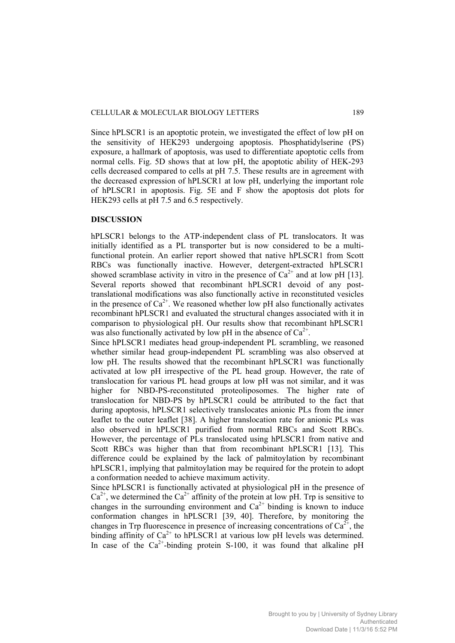Since hPLSCR1 is an apoptotic protein, we investigated the effect of low pH on the sensitivity of HEK293 undergoing apoptosis. Phosphatidylserine (PS) exposure, a hallmark of apoptosis, was used to differentiate apoptotic cells from normal cells. Fig. 5D shows that at low pH, the apoptotic ability of HEK-293 cells decreased compared to cells at pH 7.5. These results are in agreement with the decreased expression of hPLSCR1 at low pH, underlying the important role of hPLSCR1 in apoptosis. Fig. 5E and F show the apoptosis dot plots for HEK293 cells at pH 7.5 and 6.5 respectively.

### **DISCUSSION**

hPLSCR1 belongs to the ATP-independent class of PL translocators. It was initially identified as a PL transporter but is now considered to be a multifunctional protein. An earlier report showed that native hPLSCR1 from Scott RBCs was functionally inactive. However, detergent-extracted hPLSCR1 showed scramblase activity in vitro in the presence of  $Ca^{2+}$  and at low pH [13]. Several reports showed that recombinant hPLSCR1 devoid of any posttranslational modifications was also functionally active in reconstituted vesicles in the presence of  $Ca^{2+}$ . We reasoned whether low pH also functionally activates recombinant hPLSCR1 and evaluated the structural changes associated with it in comparison to physiological pH. Our results show that recombinant hPLSCR1 was also functionally activated by low pH in the absence of  $Ca^{2+}$ .

Since hPLSCR1 mediates head group-independent PL scrambling, we reasoned whether similar head group-independent PL scrambling was also observed at low pH. The results showed that the recombinant hPLSCR1 was functionally activated at low pH irrespective of the PL head group. However, the rate of translocation for various PL head groups at low pH was not similar, and it was higher for NBD-PS-reconstituted proteoliposomes. The higher rate of translocation for NBD-PS by hPLSCR1 could be attributed to the fact that during apoptosis, hPLSCR1 selectively translocates anionic PLs from the inner leaflet to the outer leaflet [38]. A higher translocation rate for anionic PLs was also observed in hPLSCR1 purified from normal RBCs and Scott RBCs. However, the percentage of PLs translocated using hPLSCR1 from native and Scott RBCs was higher than that from recombinant hPLSCR1 [13]. This difference could be explained by the lack of palmitoylation by recombinant hPLSCR1, implying that palmitoylation may be required for the protein to adopt a conformation needed to achieve maximum activity.

Since hPLSCR1 is functionally activated at physiological pH in the presence of  $Ca^{2+}$ , we determined the  $Ca^{2+}$  affinity of the protein at low pH. Trp is sensitive to changes in the surrounding environment and  $Ca^{2+}$  binding is known to induce conformation changes in hPLSCR1 [39, 40]. Therefore, by monitoring the changes in Trp fluorescence in presence of increasing concentrations of  $Ca^{2+}$ , the binding affinity of  $Ca^{2+}$  to hPLSCR1 at various low pH levels was determined. In case of the  $Ca^{2+}$ -binding protein S-100, it was found that alkaline pH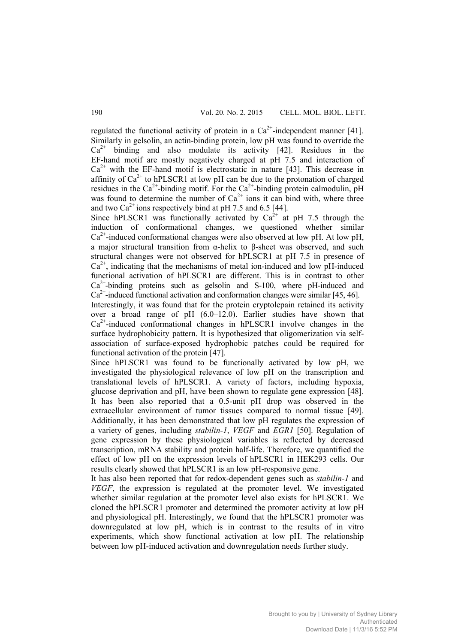regulated the functional activity of protein in a  $Ca^{2+}$ -independent manner [41]. Similarly in gelsolin, an actin-binding protein, low pH was found to override the  $Ca<sup>2+</sup>$  binding and also modulate its activity [42]. Residues in the EF-hand motif are mostly negatively charged at pH 7.5 and interaction of  $Ca<sup>2+</sup>$  with the EF-hand motif is electrostatic in nature [43]. This decrease in affinity of  $Ca^{2+}$  to hPLSCR1 at low pH can be due to the protonation of charged residues in the  $Ca^{2+}$ -binding motif. For the  $Ca^{2+}$ -binding protein calmodulin, pH was found to determine the number of  $Ca^{2+}$  ions it can bind with, where three and two  $Ca^{2+}$  ions respectively bind at pH 7.5 and 6.5 [44].

Since hPLSCR1 was functionally activated by  $Ca^{2+}$  at pH 7.5 through the induction of conformational changes, we questioned whether similar  $Ca<sup>2+</sup>$ -induced conformational changes were also observed at low pH. At low pH, a major structural transition from α-helix to β-sheet was observed, and such structural changes were not observed for hPLSCR1 at pH 7.5 in presence of  $Ca<sup>2+</sup>$ , indicating that the mechanisms of metal ion-induced and low pH-induced functional activation of hPLSCR1 are different. This is in contrast to other  $Ca<sup>2+</sup>$ -binding proteins such as gelsolin and S-100, where pH-induced and  $Ca<sup>2+</sup>$ -induced functional activation and conformation changes were similar [45, 46].

Interestingly, it was found that for the protein cryptolepain retained its activity over a broad range of pH (6.0–12.0). Earlier studies have shown that  $Ca<sup>2+</sup>$ -induced conformational changes in hPLSCR1 involve changes in the surface hydrophobicity pattern. It is hypothesized that oligomerization via selfassociation of surface-exposed hydrophobic patches could be required for functional activation of the protein [47].

Since hPLSCR1 was found to be functionally activated by low pH, we investigated the physiological relevance of low pH on the transcription and translational levels of hPLSCR1. A variety of factors, including hypoxia, glucose deprivation and pH, have been shown to regulate gene expression [48]. It has been also reported that a 0.5-unit pH drop was observed in the extracellular environment of tumor tissues compared to normal tissue [49]. Additionally, it has been demonstrated that low pH regulates the expression of a variety of genes, including *stabilin-1*, *VEGF* and *EGR1* [50]. Regulation of gene expression by these physiological variables is reflected by decreased transcription, mRNA stability and protein half-life. Therefore, we quantified the effect of low pH on the expression levels of hPLSCR1 in HEK293 cells. Our results clearly showed that hPLSCR1 is an low pH-responsive gene.

It has also been reported that for redox-dependent genes such as *stabilin-1* and *VEGF*, the expression is regulated at the promoter level. We investigated whether similar regulation at the promoter level also exists for hPLSCR1. We cloned the hPLSCR1 promoter and determined the promoter activity at low pH and physiological pH. Interestingly, we found that the hPLSCR1 promoter was downregulated at low pH, which is in contrast to the results of in vitro experiments, which show functional activation at low pH. The relationship between low pH-induced activation and downregulation needs further study.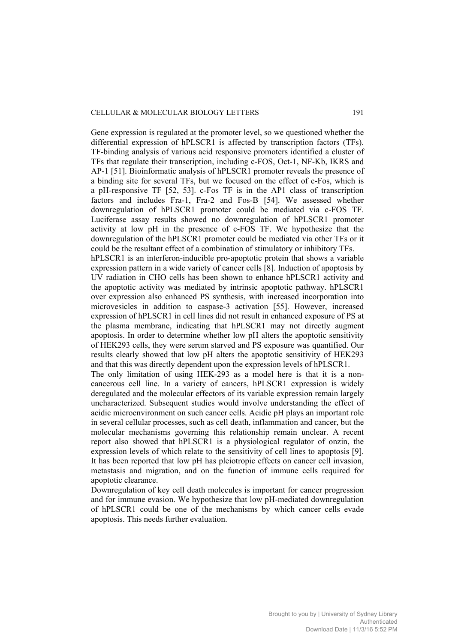Gene expression is regulated at the promoter level, so we questioned whether the differential expression of hPLSCR1 is affected by transcription factors (TFs). TF-binding analysis of various acid responsive promoters identified a cluster of TFs that regulate their transcription, including c-FOS, Oct-1, NF-Kb, IKRS and AP-1 [51]. Bioinformatic analysis of hPLSCR1 promoter reveals the presence of a binding site for several TFs, but we focused on the effect of c-Fos, which is a pH-responsive TF [52, 53]. c-Fos TF is in the AP1 class of transcription factors and includes Fra-1, Fra-2 and Fos-B [54]. We assessed whether downregulation of hPLSCR1 promoter could be mediated via c-FOS TF. Luciferase assay results showed no downregulation of hPLSCR1 promoter activity at low pH in the presence of c-FOS TF. We hypothesize that the downregulation of the hPLSCR1 promoter could be mediated via other TFs or it could be the resultant effect of a combination of stimulatory or inhibitory TFs.

hPLSCR1 is an interferon-inducible pro-apoptotic protein that shows a variable expression pattern in a wide variety of cancer cells [8]. Induction of apoptosis by UV radiation in CHO cells has been shown to enhance hPLSCR1 activity and the apoptotic activity was mediated by intrinsic apoptotic pathway. hPLSCR1 over expression also enhanced PS synthesis, with increased incorporation into microvesicles in addition to caspase-3 activation [55]. However, increased expression of hPLSCR1 in cell lines did not result in enhanced exposure of PS at the plasma membrane, indicating that hPLSCR1 may not directly augment apoptosis. In order to determine whether low pH alters the apoptotic sensitivity of HEK293 cells, they were serum starved and PS exposure was quantified. Our results clearly showed that low pH alters the apoptotic sensitivity of HEK293 and that this was directly dependent upon the expression levels of hPLSCR1.

The only limitation of using HEK-293 as a model here is that it is a noncancerous cell line. In a variety of cancers, hPLSCR1 expression is widely deregulated and the molecular effectors of its variable expression remain largely uncharacterized. Subsequent studies would involve understanding the effect of acidic microenvironment on such cancer cells. Acidic pH plays an important role in several cellular processes, such as cell death, inflammation and cancer, but the molecular mechanisms governing this relationship remain unclear. A recent report also showed that hPLSCR1 is a physiological regulator of onzin, the expression levels of which relate to the sensitivity of cell lines to apoptosis [9]. It has been reported that low pH has pleiotropic effects on cancer cell invasion, metastasis and migration, and on the function of immune cells required for apoptotic clearance.

Downregulation of key cell death molecules is important for cancer progression and for immune evasion. We hypothesize that low pH-mediated downregulation of hPLSCR1 could be one of the mechanisms by which cancer cells evade apoptosis. This needs further evaluation.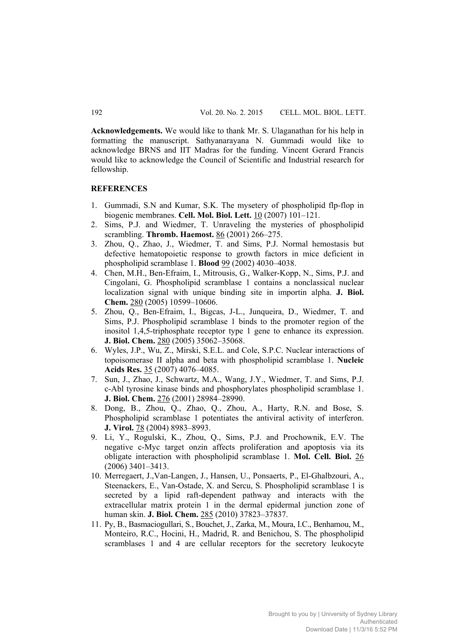**Acknowledgements.** We would like to thank Mr. S. Ulaganathan for his help in formatting the manuscript. Sathyanarayana N. Gummadi would like to acknowledge BRNS and IIT Madras for the funding. Vincent Gerard Francis would like to acknowledge the Council of Scientific and Industrial research for fellowship.

# **REFERENCES**

- 1. Gummadi, S.N and Kumar, S.K. The mysetery of phospholipid flp-flop in biogenic membranes. **Cell. Mol. Biol. Lett.** 10 (2007) 101–121.
- 2. Sims, P.J. and Wiedmer, T. Unraveling the mysteries of phospholipid scrambling. **Thromb. Haemost.** 86 (2001) 266–275.
- 3. Zhou, Q., Zhao, J., Wiedmer, T. and Sims, P.J. Normal hemostasis but defective hematopoietic response to growth factors in mice deficient in phospholipid scramblase 1. **Blood** 99 (2002) 4030–4038.
- 4. Chen, M.H., Ben-Efraim, I., Mitrousis, G., Walker-Kopp, N., Sims, P.J. and Cingolani, G. Phospholipid scramblase 1 contains a nonclassical nuclear localization signal with unique binding site in importin alpha. **J. Biol. Chem.** 280 (2005) 10599–10606.
- 5. Zhou, Q., Ben-Efraim, I., Bigcas, J-L., Junqueira, D., Wiedmer, T. and Sims, P.J. Phospholipid scramblase 1 binds to the promoter region of the inositol 1,4,5-triphosphate receptor type 1 gene to enhance its expression. **J. Biol. Chem.** 280 (2005) 35062–35068.
- 6. Wyles, J.P., Wu, Z., Mirski, S.E.L. and Cole, S.P.C. Nuclear interactions of topoisomerase II alpha and beta with phospholipid scramblase 1. **Nucleic Acids Res.** 35 (2007) 4076–4085.
- 7. Sun, J., Zhao, J., Schwartz, M.A., Wang, J.Y., Wiedmer, T. and Sims, P.J. c-Abl tyrosine kinase binds and phosphorylates phospholipid scramblase 1. **J. Biol. Chem.** 276 (2001) 28984–28990.
- 8. Dong, B., Zhou, Q., Zhao, Q., Zhou, A., Harty, R.N. and Bose, S. Phospholipid scramblase 1 potentiates the antiviral activity of interferon. **J. Virol.** 78 (2004) 8983–8993.
- 9. Li, Y., Rogulski, K., Zhou, Q., Sims, P.J. and Prochownik, E.V. The negative c-Myc target onzin affects proliferation and apoptosis via its obligate interaction with phospholipid scramblase 1. **Mol. Cell. Biol.** 26 (2006) 3401–3413.
- 10. Merregaert, J.,Van-Langen, J., Hansen, U., Ponsaerts, P., El-Ghalbzouri, A., Steenackers, E., Van-Ostade, X. and Sercu, S. Phospholipid scramblase 1 is secreted by a lipid raft-dependent pathway and interacts with the extracellular matrix protein 1 in the dermal epidermal junction zone of human skin. **J. Biol. Chem.** 285 (2010) 37823–37837.
- 11. Py, B., Basmaciogullari, S., Bouchet, J., Zarka, M., Moura, I.C., Benhamou, M., Monteiro, R.C., Hocini, H., Madrid, R. and Benichou, S. The phospholipid scramblases 1 and 4 are cellular receptors for the secretory leukocyte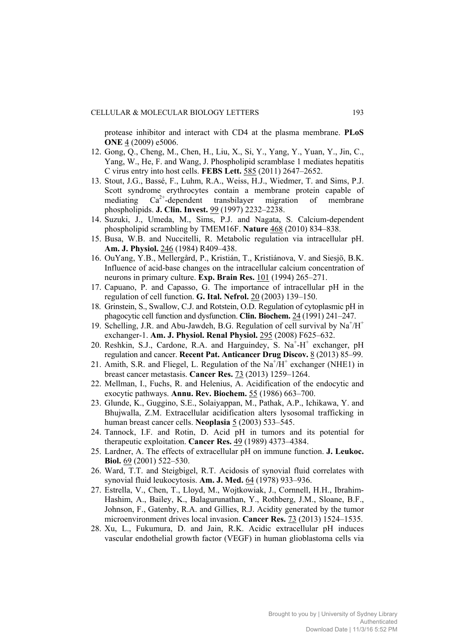protease inhibitor and interact with CD4 at the plasma membrane. **PLoS ONE** 4 (2009) e5006.

- 12. Gong, Q., Cheng, M., Chen, H., Liu, X., Si, Y., Yang, Y., Yuan, Y., Jin, C., Yang, W., He, F. and Wang, J. Phospholipid scramblase 1 mediates hepatitis C virus entry into host cells. **FEBS Lett.** 585 (2011) 2647–2652.
- 13. Stout, J.G., Bassé, F., Luhm, R.A., Weiss, H.J., Wiedmer, T. and Sims, P.J. Scott syndrome erythrocytes contain a membrane protein capable of mediating  $Ca^{2+}$ -dependent transbilayer migration of membrane phospholipids. **J. Clin. Invest.** 99 (1997) 2232–2238.
- 14. Suzuki, J., Umeda, M., Sims, P.J. and Nagata, S. Calcium-dependent phospholipid scrambling by TMEM16F. **Nature** 468 (2010) 834–838.
- 15. Busa, W.B. and Nuccitelli, R. Metabolic regulation via intracellular pH. **Am. J. Physiol.** 246 (1984) R409–438.
- 16. OuYang, Y.B., Mellergård, P., Kristián, T., Kristiánova, V. and Siesjö, B.K. Influence of acid-base changes on the intracellular calcium concentration of neurons in primary culture. **Exp. Brain Res.** 101 (1994) 265–271.
- 17. Capuano, P. and Capasso, G. The importance of intracellular pH in the regulation of cell function. **G. Ital. Nefrol.** 20 (2003) 139–150.
- 18. Grinstein, S., Swallow, C.J. and Rotstein, O.D. Regulation of cytoplasmic pH in phagocytic cell function and dysfunction. **Clin. Biochem.** 24 (1991) 241–247.
- 19. Schelling, J.R. and Abu-Jawdeh, B.G. Regulation of cell survival by Na<sup>+</sup>/H<sup>+</sup> exchanger-1. **Am. J. Physiol. Renal Physiol.** 295 (2008) F625–632.
- 20. Reshkin, S.J., Cardone, R.A. and Harguindey, S. Na<sup>+</sup>-H<sup>+</sup> exchanger, pH regulation and cancer. **Recent Pat. Anticancer Drug Discov.** 8 (2013) 85–99.
- 21. Amith, S.R. and Fliegel, L. Regulation of the  $Na^+\overline{H}^+$  exchanger (NHE1) in breast cancer metastasis. **Cancer Res.** 73 (2013) 1259–1264.
- 22. Mellman, I., Fuchs, R. and Helenius, A. Acidification of the endocytic and exocytic pathways. **Annu. Rev. Biochem.** 55 (1986) 663–700.
- 23. Glunde, K., Guggino, S.E., Solaiyappan, M., Pathak, A.P., Ichikawa, Y. and Bhujwalla, Z.M. Extracellular acidification alters lysosomal trafficking in human breast cancer cells. **Neoplasia** 5 (2003) 533–545.
- 24. Tannock, I.F. and Rotin, D. Acid pH in tumors and its potential for therapeutic exploitation. **Cancer Res.** 49 (1989) 4373–4384.
- 25. Lardner, A. The effects of extracellular pH on immune function. **J. Leukoc. Biol.** 69 (2001) 522–530.
- 26. Ward, T.T. and Steigbigel, R.T. Acidosis of synovial fluid correlates with synovial fluid leukocytosis. **Am. J. Med.** 64 (1978) 933–936.
- 27. Estrella, V., Chen, T., Lloyd, M., Wojtkowiak, J., Cornnell, H.H., Ibrahim-Hashim, A., Bailey, K., Balagurunathan, Y., Rothberg, J.M., Sloane, B.F., Johnson, F., Gatenby, R.A. and Gillies, R.J. Acidity generated by the tumor microenvironment drives local invasion. **Cancer Res.** 73 (2013) 1524–1535.
- 28. Xu, L., Fukumura, D. and Jain, R.K. Acidic extracellular pH induces vascular endothelial growth factor (VEGF) in human glioblastoma cells via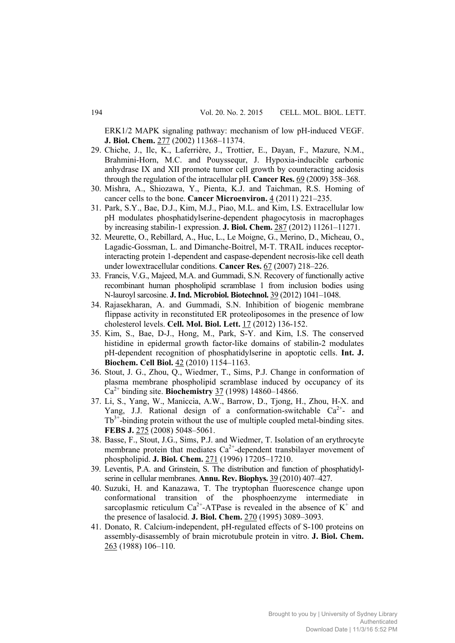ERK1/2 MAPK signaling pathway: mechanism of low pH-induced VEGF. **J. Biol. Chem.** 277 (2002) 11368–11374.

- 29. Chiche, J., Ilc, K., Laferrière, J., Trottier, E., Dayan, F., Mazure, N.M., Brahmini-Horn, M.C. and Pouyssequr, J. Hypoxia-inducible carbonic anhydrase IX and XII promote tumor cell growth by counteracting acidosis through the regulation of the intracellular pH. **Cancer Res.** 69 (2009) 358–368.
- 30. Mishra, A., Shiozawa, Y., Pienta, K.J. and Taichman, R.S. Homing of cancer cells to the bone. **Cancer Microenviron.** 4 (2011) 221–235.
- 31. Park, S.Y., Bae, D.J., Kim, M.J., Piao, M.L. and Kim, I.S. Extracellular low pH modulates phosphatidylserine-dependent phagocytosis in macrophages by increasing stabilin-1 expression. **J. Biol. Chem.** 287 (2012) 11261–11271.
- 32. Meurette, O., Rebillard, A., Huc, L., Le Moigne, G., Merino, D., Micheau, O., Lagadic-Gossman, L. and Dimanche-Boitrel, M-T. TRAIL induces receptorinteracting protein 1-dependent and caspase-dependent necrosis-like cell death under lowextracellular conditions. **Cancer Res.** 67 (2007) 218–226.
- 33. Francis, V.G., Majeed, M.A. and Gummadi, S.N. Recovery of functionally active recombinant human phospholipid scramblase 1 from inclusion bodies using N-lauroyl sarcosine. **J. Ind. Microbiol. Biotechnol.** 39 (2012) 1041–1048.
- 34. Rajasekharan, A. and Gummadi, S.N. Inhibition of biogenic membrane flippase activity in reconstituted ER proteoliposomes in the presence of low cholesterol levels. **Cell. Mol. Biol. Lett.** 17 (2012) 136-152.
- 35. Kim, S., Bae, D-J., Hong, M., Park, S-Y. and Kim, I.S. The conserved histidine in epidermal growth factor-like domains of stabilin-2 modulates pH-dependent recognition of phosphatidylserine in apoptotic cells. **Int. J. Biochem. Cell Biol.** 42 (2010) 1154–1163.
- 36. Stout, J. G., Zhou, Q., Wiedmer, T., Sims, P.J. Change in conformation of plasma membrane phospholipid scramblase induced by occupancy of its Ca2+ binding site. **Biochemistry** 37 (1998) 14860–14866.
- 37. Li, S., Yang, W., Maniccia, A.W., Barrow, D., Tjong, H., Zhou, H-X. and Yang, J.J. Rational design of a conformation-switchable  $Ca^{2+}$ - and  $Tb^{3+}$ -binding protein without the use of multiple coupled metal-binding sites. **FEBS J.** 275 (2008) 5048–5061.
- 38. Basse, F., Stout, J.G., Sims, P.J. and Wiedmer, T. Isolation of an erythrocyte membrane protein that mediates  $Ca^{2+}$ -dependent transbilayer movement of phospholipid. **J. Biol. Chem.** 271 (1996) 17205–17210.
- 39. Leventis, P.A. and Grinstein, S. The distribution and function of phosphatidylserine in cellular membranes. **Annu. Rev. Biophys.** 39 (2010) 407–427.
- 40. Suzuki, H. and Kanazawa, T. The tryptophan fluorescence change upon conformational transition of the phosphoenzyme intermediate in sarcoplasmic reticulum  $Ca^{2+}$ -ATPase is revealed in the absence of  $K^+$  and the presence of lasalocid. **J. Biol. Chem.** 270 (1995) 3089–3093.
- 41. Donato, R. Calcium-independent, pH-regulated effects of S-100 proteins on assembly-disassembly of brain microtubule protein in vitro. **J. Biol. Chem.** 263 (1988) 106–110.